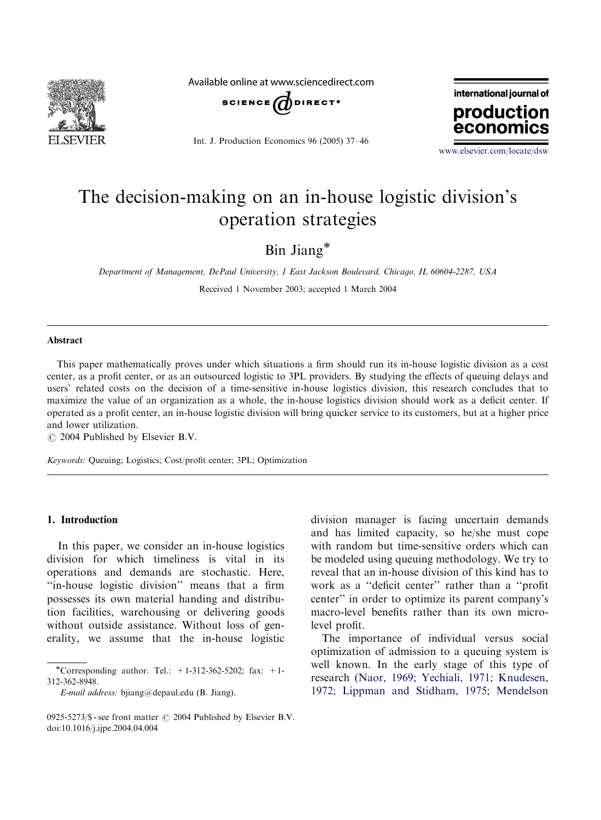

Available online at www.sciencedirect.com



Int. J. Production Economics 96 (2005) 37–46

international journal of production economics

<www.elsevier.com/locate/dsw>

# The decision-making on an in-house logistic division's operation strategies

Bin Jiang

Department of Management, DePaul University, 1 East Jackson Boulevard, Chicago, IL 60604-2287, USA

Received 1 November 2003; accepted 1 March 2004

#### Abstract

This paper mathematically proves under which situations a firm should run its in-house logistic division as a cost center, as a profit center, or as an outsourced logistic to 3PL providers. By studying the effects of queuing delays and users' related costs on the decision of a time-sensitive in-house logistics division, this research concludes that to maximize the value of an organization as a whole, the in-house logistics division should workas a deficit center. If operated as a profit center, an in-house logistic division will bring quicker service to its customers, but at a higher price and lower utilization.

 $\circ$  2004 Published by Elsevier B.V.

Keywords: Queuing; Logistics; Cost/profit center; 3PL; Optimization

### 1. Introduction

In this paper, we consider an in-house logistics division for which timeliness is vital in its operations and demands are stochastic. Here, ''in-house logistic division'' means that a firm possesses its own material handing and distribution facilities, warehousing or delivering goods without outside assistance. Without loss of generality, we assume that the in-house logistic

division manager is facing uncertain demands and has limited capacity, so he/she must cope with random but time-sensitive orders which can be modeled using queuing methodology. We try to reveal that an in-house division of this kind has to workas a ''deficit center'' rather than a ''profit center'' in order to optimize its parent company's macro-level benefits rather than its own microlevel profit.

The importance of individual versus social optimization of admission to a queuing system is well known. In the early stage of this type of research ([Naor, 1969](#page--1-0); [Yechiali, 1971](#page--1-0); [Knudesen,](#page--1-0) [1972;](#page--1-0) [Lippman and Stidham, 1975](#page--1-0); [Mendelson](#page--1-0)

<sup>\*</sup>Corresponding author. Tel.:  $+1-312-362-5202$ ; fax:  $+1-$ 312-362-8948.

E-mail address: bjiang@depaul.edu (B. Jiang).

<sup>0925-5273/\$ -</sup> see front matter  $\odot$  2004 Published by Elsevier B.V. doi:10.1016/j.ijpe.2004.04.004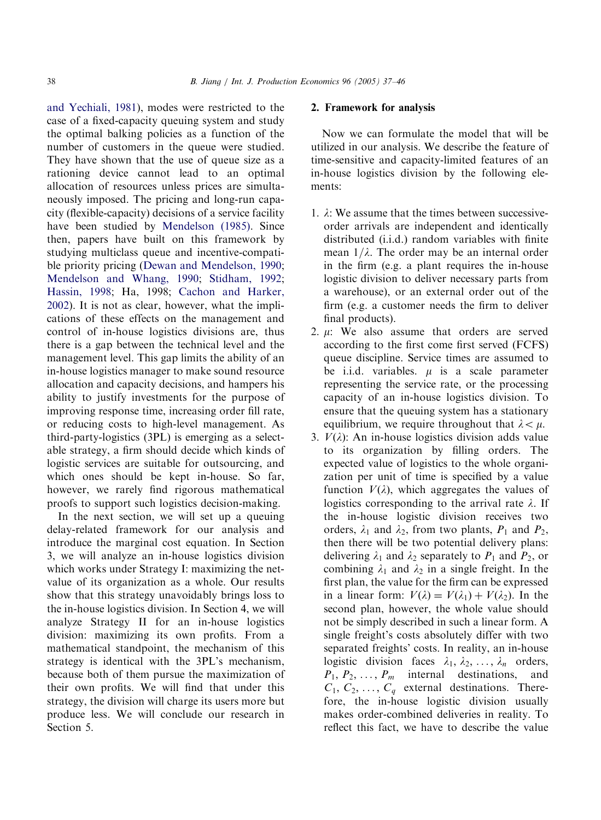[and Yechiali, 1981\)](#page--1-0), modes were restricted to the case of a fixed-capacity queuing system and study the optimal balking policies as a function of the number of customers in the queue were studied. They have shown that the use of queue size as a rationing device cannot lead to an optimal allocation of resources unless prices are simultaneously imposed. The pricing and long-run capacity (flexible-capacity) decisions of a service facility have been studied by [Mendelson \(1985\).](#page--1-0) Since then, papers have built on this framework by studying multiclass queue and incentive-compatible priority pricing ([Dewan and Mendelson, 1990](#page--1-0); [Mendelson and Whang, 1990](#page--1-0); [Stidham, 1992](#page--1-0); [Hassin, 1998;](#page--1-0) Ha, 1998; [Cachon and Harker,](#page--1-0) [2002](#page--1-0)). It is not as clear, however, what the implications of these effects on the management and control of in-house logistics divisions are, thus there is a gap between the technical level and the management level. This gap limits the ability of an in-house logistics manager to make sound resource allocation and capacity decisions, and hampers his ability to justify investments for the purpose of improving response time, increasing order fill rate, or reducing costs to high-level management. As third-party-logistics (3PL) is emerging as a selectable strategy, a firm should decide which kinds of logistic services are suitable for outsourcing, and which ones should be kept in-house. So far, however, we rarely find rigorous mathematical proofs to support such logistics decision-making.

In the next section, we will set up a queuing delay-related framework for our analysis and introduce the marginal cost equation. In Section 3, we will analyze an in-house logistics division which works under Strategy I: maximizing the netvalue of its organization as a whole. Our results show that this strategy unavoidably brings loss to the in-house logistics division. In Section 4, we will analyze Strategy II for an in-house logistics division: maximizing its own profits. From a mathematical standpoint, the mechanism of this strategy is identical with the 3PL's mechanism, because both of them pursue the maximization of their own profits. We will find that under this strategy, the division will charge its users more but produce less. We will conclude our research in Section 5.

### 2. Framework for analysis

Now we can formulate the model that will be utilized in our analysis. We describe the feature of time-sensitive and capacity-limited features of an in-house logistics division by the following elements:

- 1.  $\lambda$ : We assume that the times between successiveorder arrivals are independent and identically distributed (i.i.d.) random variables with finite mean  $1/\lambda$ . The order may be an internal order in the firm (e.g. a plant requires the in-house logistic division to deliver necessary parts from a warehouse), or an external order out of the firm (e.g. a customer needs the firm to deliver final products).
- 2.  $\mu$ : We also assume that orders are served according to the first come first served (FCFS) queue discipline. Service times are assumed to be i.i.d. variables.  $\mu$  is a scale parameter representing the service rate, or the processing capacity of an in-house logistics division. To ensure that the queuing system has a stationary equilibrium, we require throughout that  $\lambda < \mu$ .
- 3.  $V(\lambda)$ : An in-house logistics division adds value to its organization by filling orders. The expected value of logistics to the whole organization per unit of time is specified by a value function  $V(\lambda)$ , which aggregates the values of logistics corresponding to the arrival rate  $\lambda$ . If the in-house logistic division receives two orders,  $\lambda_1$  and  $\lambda_2$ , from two plants,  $P_1$  and  $P_2$ , then there will be two potential delivery plans: delivering  $\lambda_1$  and  $\lambda_2$  separately to  $P_1$  and  $P_2$ , or combining  $\lambda_1$  and  $\lambda_2$  in a single freight. In the first plan, the value for the firm can be expressed in a linear form:  $V(\lambda) = V(\lambda_1) + V(\lambda_2)$ . In the second plan, however, the whole value should not be simply described in such a linear form. A single freight's costs absolutely differ with two separated freights' costs. In reality, an in-house logistic division faces  $\lambda_1, \lambda_2, \ldots, \lambda_n$  orders,  $P_1, P_2, \ldots, P_m$  internal destinations, and  $C_1, C_2, \ldots, C_q$  external destinations. Therefore, the in-house logistic division usually makes order-combined deliveries in reality. To reflect this fact, we have to describe the value